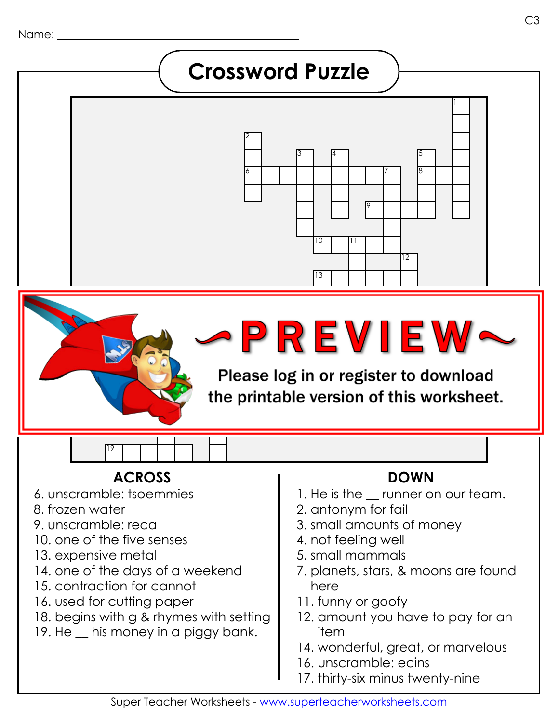### **Crossword Puzzle**



# **PREVIEW~**

16 17 the printable version of this worksheet.

#### **ACROSS DOWN**

6. unscramble: tsoemmies

19

- 8. frozen water
- 9. unscramble: reca
- 10. one of the five senses
- 13. expensive metal
- 14. one of the days of a weekend
- 15. contraction for cannot
- 16. used for cutting paper
- 18. begins with g & rhymes with setting
- 19. He his money in a piggy bank.

- 1. He is the \_\_ runner on our team.
- 2. antonym for fail
- 3. small amounts of money
- 4. not feeling well
- 5. small mammals
- 7. planets, stars, & moons are found here
- 11. funny or goofy
- 12. amount you have to pay for an item
- 14. wonderful, great, or marvelous
- 16. unscramble: ecins
- 17. thirty-six minus twenty-nine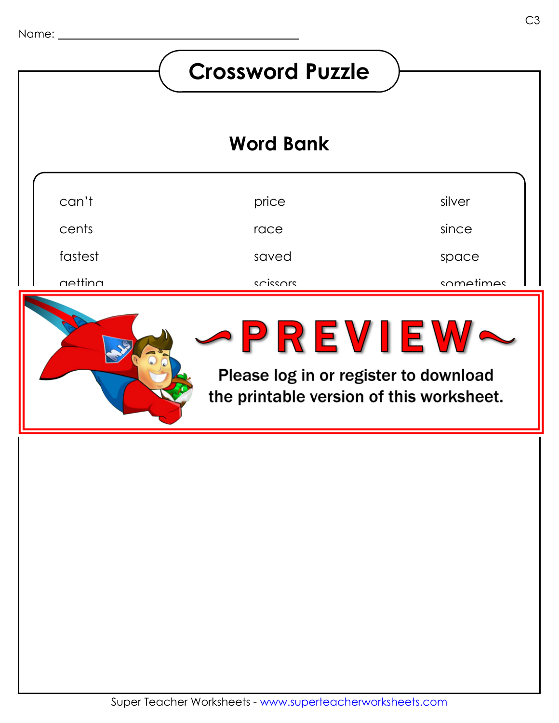#### **Crossword Puzzle Word Bank**can't price silver cents since race fastest saved space getting scissors sometimes ice.<br>In the Second Second Second Second Second Second Second Second Second Second Second Second Second Second Second Second Second Second Second Second Second Second Second Second Second Second Second Second Second Second mice 2 R E V I E W pass se legise en negisten te dermele the printable version of this worksheet.